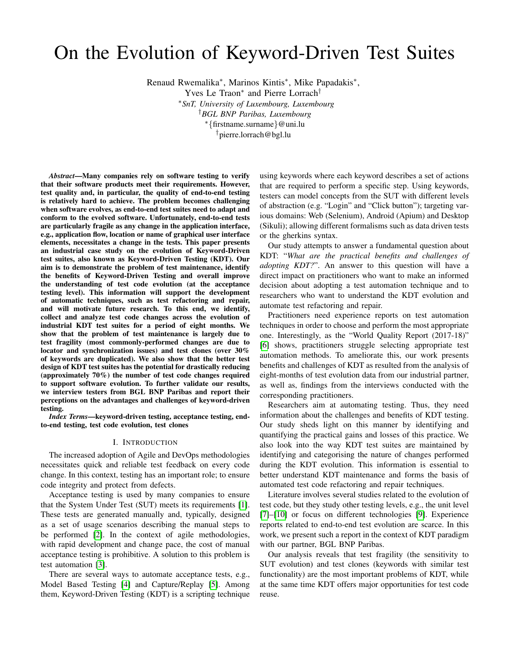# On the Evolution of Keyword-Driven Test Suites

Renaud Rwemalika<sup>∗</sup> , Marinos Kintis<sup>∗</sup> , Mike Papadakis<sup>∗</sup> ,

Yves Le Traon<sup>∗</sup> and Pierre Lorrach† <sup>∗</sup>*SnT, University of Luxembourg, Luxembourg* †*BGL BNP Paribas, Luxembourg* <sup>∗</sup>{firstname.surname}@uni.lu †pierre.lorrach@bgl.lu

*Abstract*—Many companies rely on software testing to verify that their software products meet their requirements. However, test quality and, in particular, the quality of end-to-end testing is relatively hard to achieve. The problem becomes challenging when software evolves, as end-to-end test suites need to adapt and conform to the evolved software. Unfortunately, end-to-end tests are particularly fragile as any change in the application interface, e.g., application flow, location or name of graphical user interface elements, necessitates a change in the tests. This paper presents an industrial case study on the evolution of Keyword-Driven test suites, also known as Keyword-Driven Testing (KDT). Our aim is to demonstrate the problem of test maintenance, identify the benefits of Keyword-Driven Testing and overall improve the understanding of test code evolution (at the acceptance testing level). This information will support the development of automatic techniques, such as test refactoring and repair, and will motivate future research. To this end, we identify, collect and analyze test code changes across the evolution of industrial KDT test suites for a period of eight months. We show that the problem of test maintenance is largely due to test fragility (most commonly-performed changes are due to locator and synchronization issues) and test clones (over 30% of keywords are duplicated). We also show that the better test design of KDT test suites has the potential for drastically reducing (approximately 70%) the number of test code changes required to support software evolution. To further validate our results, we interview testers from BGL BNP Paribas and report their perceptions on the advantages and challenges of keyword-driven testing.

*Index Terms*—keyword-driven testing, acceptance testing, endto-end testing, test code evolution, test clones

#### I. INTRODUCTION

The increased adoption of Agile and DevOps methodologies necessitates quick and reliable test feedback on every code change. In this context, testing has an important role; to ensure code integrity and protect from defects.

Acceptance testing is used by many companies to ensure that the System Under Test (SUT) meets its requirements [\[1\]](#page-10-0). These tests are generated manually and, typically, designed as a set of usage scenarios describing the manual steps to be performed [\[2\]](#page-10-1). In the context of agile methodologies, with rapid development and change pace, the cost of manual acceptance testing is prohibitive. A solution to this problem is test automation [\[3\]](#page-10-2).

There are several ways to automate acceptance tests, e.g., Model Based Testing [\[4\]](#page-10-3) and Capture/Replay [\[5\]](#page-10-4). Among them, Keyword-Driven Testing (KDT) is a scripting technique using keywords where each keyword describes a set of actions that are required to perform a specific step. Using keywords, testers can model concepts from the SUT with different levels of abstraction (e.g. "Login" and "Click button"); targeting various domains: Web (Selenium), Android (Apium) and Desktop (Sikuli); allowing different formalisms such as data driven tests or the gherkins syntax.

Our study attempts to answer a fundamental question about KDT: "*What are the practical benefits and challenges of adopting KDT?*". An answer to this question will have a direct impact on practitioners who want to make an informed decision about adopting a test automation technique and to researchers who want to understand the KDT evolution and automate test refactoring and repair.

Practitioners need experience reports on test automation techniques in order to choose and perform the most appropriate one. Interestingly, as the "World Quality Report (2017-18)" [\[6\]](#page-10-5) shows, practitioners struggle selecting appropriate test automation methods. To ameliorate this, our work presents benefits and challenges of KDT as resulted from the analysis of eight-months of test evolution data from our industrial partner, as well as, findings from the interviews conducted with the corresponding practitioners.

Researchers aim at automating testing. Thus, they need information about the challenges and benefits of KDT testing. Our study sheds light on this manner by identifying and quantifying the practical gains and losses of this practice. We also look into the way KDT test suites are maintained by identifying and categorising the nature of changes performed during the KDT evolution. This information is essential to better understand KDT maintenance and forms the basis of automated test code refactoring and repair techniques.

Literature involves several studies related to the evolution of test code, but they study other testing levels, e.g., the unit level [\[7\]](#page-10-6)–[\[10\]](#page-10-7) or focus on different technologies [\[9\]](#page-10-8). Experience reports related to end-to-end test evolution are scarce. In this work, we present such a report in the context of KDT paradigm with our partner, BGL BNP Paribas.

Our analysis reveals that test fragility (the sensitivity to SUT evolution) and test clones (keywords with similar test functionality) are the most important problems of KDT, while at the same time KDT offers major opportunities for test code reuse.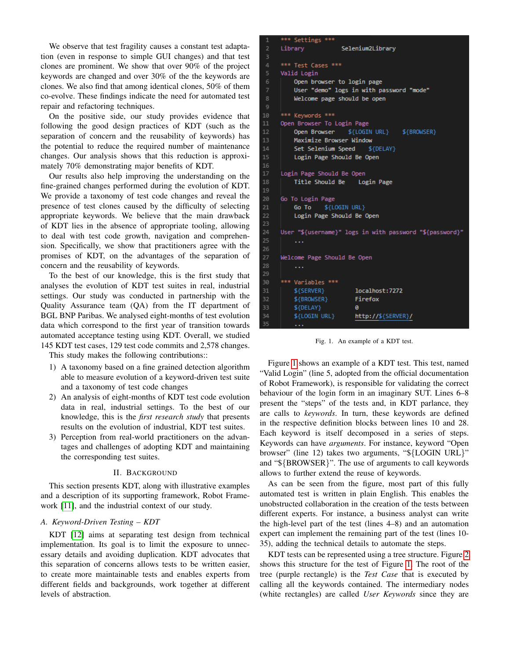We observe that test fragility causes a constant test adaptation (even in response to simple GUI changes) and that test clones are prominent. We show that over 90% of the project keywords are changed and over 30% of the the keywords are clones. We also find that among identical clones, 50% of them co-evolve. These findings indicate the need for automated test repair and refactoring techniques.

On the positive side, our study provides evidence that following the good design practices of KDT (such as the separation of concern and the reusability of keywords) has the potential to reduce the required number of maintenance changes. Our analysis shows that this reduction is approximately 70% demonstrating major benefits of KDT.

Our results also help improving the understanding on the fine-grained changes performed during the evolution of KDT. We provide a taxonomy of test code changes and reveal the presence of test clones caused by the difficulty of selecting appropriate keywords. We believe that the main drawback of KDT lies in the absence of appropriate tooling, allowing to deal with test code growth, navigation and comprehension. Specifically, we show that practitioners agree with the promises of KDT, on the advantages of the separation of concern and the reusability of keywords.

To the best of our knowledge, this is the first study that analyses the evolution of KDT test suites in real, industrial settings. Our study was conducted in partnership with the Quality Assurance team (QA) from the IT department of BGL BNP Paribas. We analysed eight-months of test evolution data which correspond to the first year of transition towards automated acceptance testing using KDT. Overall, we studied 145 KDT test cases, 129 test code commits and 2,578 changes.

This study makes the following contributions::

- 1) A taxonomy based on a fine grained detection algorithm able to measure evolution of a keyword-driven test suite and a taxonomy of test code changes
- 2) An analysis of eight-months of KDT test code evolution data in real, industrial settings. To the best of our knowledge, this is the *first research study* that presents results on the evolution of industrial, KDT test suites.
- 3) Perception from real-world practitioners on the advantages and challenges of adopting KDT and maintaining the corresponding test suites.

## II. BACKGROUND

<span id="page-1-1"></span>This section presents KDT, along with illustrative examples and a description of its supporting framework, Robot Framework [\[11\]](#page-10-9), and the industrial context of our study.

#### <span id="page-1-2"></span>*A. Keyword-Driven Testing – KDT*

KDT [\[12\]](#page-10-10) aims at separating test design from technical implementation. Its goal is to limit the exposure to unnecessary details and avoiding duplication. KDT advocates that this separation of concerns allows tests to be written easier, to create more maintainable tests and enables experts from different fields and backgrounds, work together at different levels of abstraction.

```
*** Settings
\mathbf{1}Selenium2Library
     Library
\Delta*** Test Cases ***
     Valid Login
         Open browser to login page
         User "demo" logs in with password "mode"
         Welcome page should be open
10
     *** Keywords ***
11Open Browser To Login Page
                           ${LOGIN URL}
                                            ${BROWSER}
         Open Browser
13
         Maximize Browser Window
14Set Selenium Speed
                                 ${DELAY}
15
         Login Page Should Be Open
     Login Page Should Be Open
         Title Should Be
                              Login Page
19
20
     Go To Login Page
21${LOGIN URL}
         Go To
         Login Page Should Be Open
24
     User "${username}" logs in with password "${password}"
25Welcome Page Should Be Open
          \sim \sim \sim29
      *** Variables ***
30
31${SERVER}
                             localhost: 7272
         ${BROWSER}
                             Firefox
         ${DELAY}
                             ø
34
         ${LOGIN URL}
                             http://${SERVER}/
35
```
<span id="page-1-0"></span>Fig. 1. An example of a KDT test.

Figure [1](#page-1-0) shows an example of a KDT test. This test, named "Valid Login" (line 5, adopted from the official documentation of Robot Framework), is responsible for validating the correct behaviour of the login form in an imaginary SUT. Lines 6–8 present the "steps" of the tests and, in KDT parlance, they are calls to *keywords*. In turn, these keywords are defined in the respective definition blocks between lines 10 and 28. Each keyword is itself decomposed in a series of steps. Keywords can have *arguments*. For instance, keyword "Open browser" (line 12) takes two arguments, "\${LOGIN URL}" and "\${BROWSER}". The use of arguments to call keywords allows to further extend the reuse of keywords.

As can be seen from the figure, most part of this fully automated test is written in plain English. This enables the unobstructed collaboration in the creation of the tests between different experts. For instance, a business analyst can write the high-level part of the test (lines 4–8) and an automation expert can implement the remaining part of the test (lines 10- 35), adding the technical details to automate the steps.

KDT tests can be represented using a tree structure. Figure [2](#page-2-0) shows this structure for the test of Figure [1.](#page-1-0) The root of the tree (purple rectangle) is the *Test Case* that is executed by calling all the keywords contained. The intermediary nodes (white rectangles) are called *User Keywords* since they are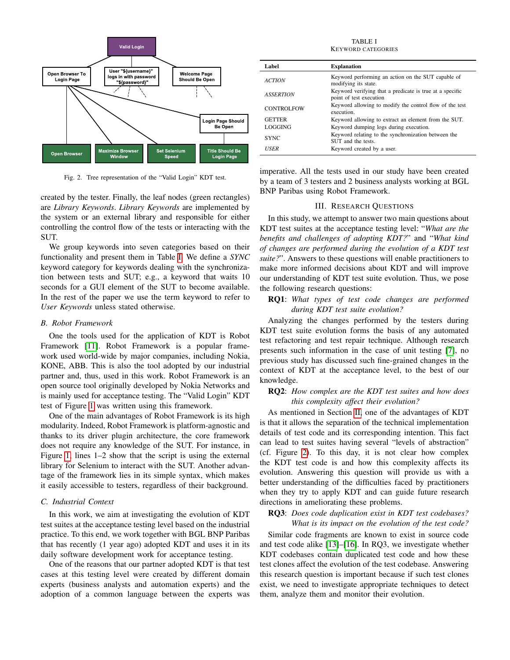

<span id="page-2-0"></span>Fig. 2. Tree representation of the "Valid Login" KDT test.

created by the tester. Finally, the leaf nodes (green rectangles) are *Library Keywords*. *Library Keywords* are implemented by the system or an external library and responsible for either controlling the control flow of the tests or interacting with the SUT.

We group keywords into seven categories based on their functionality and present them in Table [I.](#page-2-1) We define a *SYNC* keyword category for keywords dealing with the synchronization between tests and SUT; e.g., a keyword that waits 10 seconds for a GUI element of the SUT to become available. In the rest of the paper we use the term keyword to refer to *User Keywords* unless stated otherwise.

#### *B. Robot Framework*

One the tools used for the application of KDT is Robot Framework [\[11\]](#page-10-9). Robot Framework is a popular framework used world-wide by major companies, including Nokia, KONE, ABB. This is also the tool adopted by our industrial partner and, thus, used in this work. Robot Framework is an open source tool originally developed by Nokia Networks and is mainly used for acceptance testing. The "Valid Login" KDT test of Figure [1](#page-1-0) was written using this framework.

One of the main advantages of Robot Framework is its high modularity. Indeed, Robot Framework is platform-agnostic and thanks to its driver plugin architecture, the core framework does not require any knowledge of the SUT. For instance, in Figure [1,](#page-1-0) lines 1–2 show that the script is using the external library for Selenium to interact with the SUT. Another advantage of the framework lies in its simple syntax, which makes it easily accessible to testers, regardless of their background.

### *C. Industrial Context*

In this work, we aim at investigating the evolution of KDT test suites at the acceptance testing level based on the industrial practice. To this end, we work together with BGL BNP Paribas that has recently (1 year ago) adopted KDT and uses it in its daily software development work for acceptance testing.

One of the reasons that our partner adopted KDT is that test cases at this testing level were created by different domain experts (business analysts and automation experts) and the adoption of a common language between the experts was

TABLE I KEYWORD CATEGORIES

<span id="page-2-1"></span>

| Label             | <b>Explanation</b>                                                                  |
|-------------------|-------------------------------------------------------------------------------------|
| <b>ACTION</b>     | Keyword performing an action on the SUT capable of<br>modifying its state.          |
| <b>ASSERTION</b>  | Keyword verifying that a predicate is true at a specific<br>point of test execution |
| <b>CONTROLFOW</b> | Keyword allowing to modify the control flow of the test<br>execution                |
| <b>GETTER</b>     | Keyword allowing to extract an element from the SUT.                                |
| <b>LOGGING</b>    | Keyword dumping logs during execution.                                              |
| <b>SYNC</b>       | Keyword relating to the synchronization between the<br>SUT and the tests.           |
| <b>IISER</b>      | Keyword created by a user.                                                          |

imperative. All the tests used in our study have been created by a team of 3 testers and 2 business analysts working at BGL BNP Paribas using Robot Framework.

## III. RESEARCH QUESTIONS

In this study, we attempt to answer two main questions about KDT test suites at the acceptance testing level: "*What are the benefits and challenges of adopting KDT?*" and "*What kind of changes are performed during the evolution of a KDT test suite?*". Answers to these questions will enable practitioners to make more informed decisions about KDT and will improve our understanding of KDT test suite evolution. Thus, we pose the following research questions:

## RQ1: *What types of test code changes are performed during KDT test suite evolution?*

Analyzing the changes performed by the testers during KDT test suite evolution forms the basis of any automated test refactoring and test repair technique. Although research presents such information in the case of unit testing [\[7\]](#page-10-6), no previous study has discussed such fine-grained changes in the context of KDT at the acceptance level, to the best of our knowledge.

## RQ2: *How complex are the KDT test suites and how does this complexity affect their evolution?*

As mentioned in Section [II,](#page-1-1) one of the advantages of KDT is that it allows the separation of the technical implementation details of test code and its corresponding intention. This fact can lead to test suites having several "levels of abstraction" (cf. Figure [2\)](#page-2-0). To this day, it is not clear how complex the KDT test code is and how this complexity affects its evolution. Answering this question will provide us with a better understanding of the difficulties faced by practitioners when they try to apply KDT and can guide future research directions in ameliorating these problems.

# RQ3: *Does code duplication exist in KDT test codebases? What is its impact on the evolution of the test code?*

Similar code fragments are known to exist in source code and test code alike [\[13\]](#page-10-11)–[\[16\]](#page-10-12). In RQ3, we investigate whether KDT codebases contain duplicated test code and how these test clones affect the evolution of the test codebase. Answering this research question is important because if such test clones exist, we need to investigate appropriate techniques to detect them, analyze them and monitor their evolution.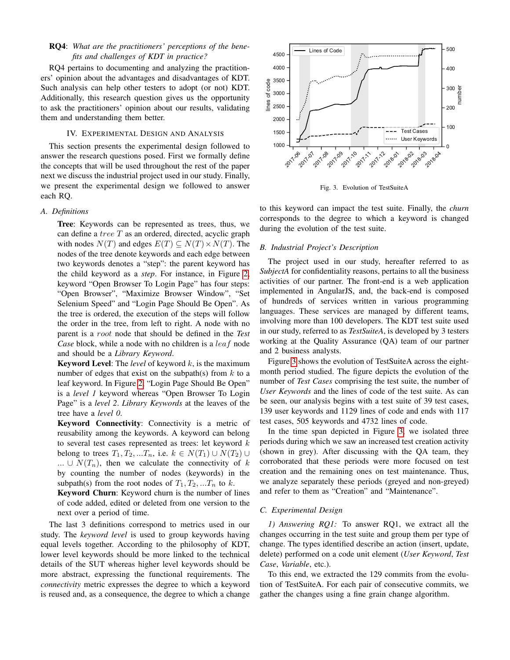## RQ4: *What are the practitioners' perceptions of the benefits and challenges of KDT in practice?*

RQ4 pertains to documenting and analyzing the practitioners' opinion about the advantages and disadvantages of KDT. Such analysis can help other testers to adopt (or not) KDT. Additionally, this research question gives us the opportunity to ask the practitioners' opinion about our results, validating them and understanding them better.

#### IV. EXPERIMENTAL DESIGN AND ANALYSIS

This section presents the experimental design followed to answer the research questions posed. First we formally define the concepts that will be used throughout the rest of the paper next we discuss the industrial project used in our study. Finally, we present the experimental design we followed to answer each RQ.

#### <span id="page-3-1"></span>*A. Definitions*

Tree: Keywords can be represented as trees, thus, we can define a  $tree T$  as an ordered, directed, acyclic graph with nodes  $N(T)$  and edges  $E(T) \subseteq N(T) \times N(T)$ . The nodes of the tree denote keywords and each edge between two keywords denotes a "step": the parent keyword has the child keyword as a *step*. For instance, in Figure [2,](#page-2-0) keyword "Open Browser To Login Page" has four steps: "Open Browser", "Maximize Browser Window", "Set Selenium Speed" and "Login Page Should Be Open". As the tree is ordered, the execution of the steps will follow the order in the tree, from left to right. A node with no parent is a root node that should be defined in the *Test Case* block, while a node with no children is a *leaf* node and should be a *Library Keyword*.

**Keyword Level:** The *level* of keyword  $k$ , is the maximum number of edges that exist on the subpath(s) from  $k$  to a leaf keyword. In Figure [2,](#page-2-0) "Login Page Should Be Open" is a *level 1* keyword whereas "Open Browser To Login Page" is a *level 2*. *Library Keywords* at the leaves of the tree have a *level 0*.

Keyword Connectivity: Connectivity is a metric of reusability among the keywords. A keyword can belong to several test cases represented as trees: let keyword  $k$ belong to trees  $T_1, T_2, ... T_n$ , i.e.  $k \in N(T_1) \cup N(T_2) \cup N(T_3)$ ... ∪  $N(T_n)$ , then we calculate the connectivity of k by counting the number of nodes (keywords) in the subpath(s) from the root nodes of  $T_1, T_2, ... T_n$  to k.

Keyword Churn: Keyword churn is the number of lines of code added, edited or deleted from one version to the next over a period of time.

The last 3 definitions correspond to metrics used in our study. The *keyword level* is used to group keywords having equal levels together. According to the philosophy of KDT, lower level keywords should be more linked to the technical details of the SUT whereas higher level keywords should be more abstract, expressing the functional requirements. The *connectivity* metric expresses the degree to which a keyword is reused and, as a consequence, the degree to which a change



<span id="page-3-0"></span>Fig. 3. Evolution of TestSuiteA

to this keyword can impact the test suite. Finally, the *churn* corresponds to the degree to which a keyword is changed during the evolution of the test suite.

#### <span id="page-3-2"></span>*B. Industrial Project's Description*

The project used in our study, hereafter referred to as *SubjectA* for confidentiality reasons, pertains to all the business activities of our partner. The front-end is a web application implemented in AngularJS, and, the back-end is composed of hundreds of services written in various programming languages. These services are managed by different teams, involving more than 100 developers. The KDT test suite used in our study, referred to as *TestSuiteA*, is developed by 3 testers working at the Quality Assurance (QA) team of our partner and 2 business analysts.

Figure [3](#page-3-0) shows the evolution of TestSuiteA across the eightmonth period studied. The figure depicts the evolution of the number of *Test Cases* comprising the test suite, the number of *User Keywords* and the lines of code of the test suite. As can be seen, our analysis begins with a test suite of 39 test cases, 139 user keywords and 1129 lines of code and ends with 117 test cases, 505 keywords and 4732 lines of code.

In the time span depicted in Figure [3,](#page-3-0) we isolated three periods during which we saw an increased test creation activity (shown in grey). After discussing with the QA team, they corroborated that these periods were more focused on test creation and the remaining ones on test maintenance. Thus, we analyze separately these periods (greyed and non-greyed) and refer to them as "Creation" and "Maintenance".

#### *C. Experimental Design*

*1) Answering RQ1:* To answer RQ1, we extract all the changes occurring in the test suite and group them per type of change. The types identified describe an action (insert, update, delete) performed on a code unit element (*User Keyword*, *Test Case*, *Variable*, etc.).

To this end, we extracted the 129 commits from the evolution of TestSuiteA. For each pair of consecutive commits, we gather the changes using a fine grain change algorithm.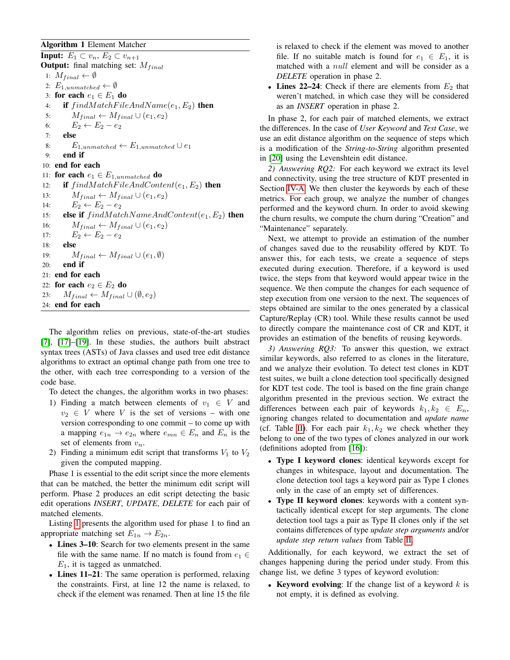## <span id="page-4-0"></span>Algorithm 1 Element Matcher

Input:  $E_1 \subset v_n$ ,  $E_2 \subset v_{n+1}$ **Output:** final matching set:  $M_{final}$ 1:  $M_{final} \leftarrow \emptyset$ 2:  $E_{1,unmatched} \leftarrow \emptyset$ 3: for each  $e_1 \in E_1$  do 4: if  $findMatchFileAndName(e_1, E_2)$  then 5:  $M_{final} \leftarrow M_{final} \cup (e_1, e_2)$ 6:  $E_2 \leftarrow E_2 - e_2$ 7: else 8:  $E_{1,unmatched} \leftarrow E_{1,unmatched} \cup e_1$ 9: end if 10: end for each 11: for each  $e_1 \in E_{1.unmatched}$  do 12: if  $findMatchFileAndContent(e_1, E_2)$  then 13:  $M_{final} \leftarrow M_{final} \cup (e_1, e_2)$ 14:  $E_2 \leftarrow E_2 - e_2$ 15: **else if**  $findMatchNameAndContent(e_1, E_2)$  then 16:  $M_{final} \leftarrow M_{final} \cup (e_1, e_2)$ 17:  $E_2 \leftarrow E_2 - e_2$ 18: else 19:  $M_{final} \leftarrow M_{final} \cup (e_1, \emptyset)$ 20: end if 21: end for each 22: for each  $e_2 \in E_2$  do 23:  $M_{final} \leftarrow M_{final} \cup (\emptyset, e_2)$ 24: end for each

The algorithm relies on previous, state-of-the-art studies [\[7\]](#page-10-6), [\[17\]](#page-10-13)–[\[19\]](#page-10-14). In these studies, the authors built abstract syntax trees (ASTs) of Java classes and used tree edit distance algorithms to extract an optimal change path from one tree to the other, with each tree corresponding to a version of the code base.

To detect the changes, the algorithm works in two phases:

- 1) Finding a match between elements of  $v_1 \in V$  and  $v_2 \in V$  where V is the set of versions – with one version corresponding to one commit – to come up with a mapping  $e_{1n} \rightarrow e_{2n}$  where  $e_{mn} \in E_n$  and  $E_n$  is the set of elements from  $v_n$ .
- 2) Finding a minimum edit script that transforms  $V_1$  to  $V_2$ given the computed mapping.

Phase 1 is essential to the edit script since the more elements that can be matched, the better the minimum edit script will perform. Phase 2 produces an edit script detecting the basic edit operations *INSERT*, *UPDATE*, *DELETE* for each pair of matched elements.

Listing [1](#page-4-0) presents the algorithm used for phase 1 to find an appropriate matching set  $E_{1n} \rightarrow E_{2n}$ .

- Lines 3–10: Search for two elements present in the same file with the same name. If no match is found from  $e_1 \in$  $E_1$ , it is tagged as unmatched.
- Lines 11–21: The same operation is performed, relaxing the constraints. First, at line 12 the name is relaxed, to check if the element was renamed. Then at line 15 the file

is relaxed to check if the element was moved to another file. If no suitable match is found for  $e_1 \in E_1$ , it is matched with a *null* element and will be consider as a *DELETE* operation in phase 2.

• Lines 22–24: Check if there are elements from  $E_2$  that weren't matched, in which case they will be considered as an *INSERT* operation in phase 2.

In phase 2, for each pair of matched elements, we extract the differences. In the case of *User Keyword* and *Test Case*, we use an edit distance algorithm on the sequence of steps which is a modification of the *String-to-String* algorithm presented in [\[20\]](#page-10-15) using the Levenshtein edit distance.

<span id="page-4-1"></span>*2) Answering RQ2:* For each keyword we extract its level and connectivity, using the tree structure of KDT presented in Section [IV-A.](#page-3-1) We then cluster the keywords by each of these metrics. For each group, we analyze the number of changes performed and the keyword churn. In order to avoid skewing the churn results, we compute the churn during "Creation" and "Maintenance" separately.

Next, we attempt to provide an estimation of the number of changes saved due to the reusability offered by KDT. To answer this, for each tests, we create a sequence of steps executed during execution. Therefore, if a keyword is used twice, the steps from that keyword would appear twice in the sequence. We then compute the changes for each sequence of step execution from one version to the next. The sequences of steps obtained are similar to the ones generated by a classical Capture/Replay (CR) tool. While these results cannot be used to directly compare the maintenance cost of CR and KDT, it provides an estimation of the benefits of reusing keywords.

*3) Answering RQ3:* To answer this question, we extract similar keywords, also referred to as clones in the literature, and we analyze their evolution. To detect test clones in KDT test suites, we built a clone detection tool specifically designed for KDT test code. The tool is based on the fine grain change algorithm presented in the previous section. We extract the differences between each pair of keywords  $k_1, k_2 \in E_n$ , ignoring changes related to documentation and *update name* (cf. Table [II\)](#page-5-0). For each pair  $k_1, k_2$  we check whether they belong to one of the two types of clones analyzed in our work (definitions adopted from [\[16\]](#page-10-12)):

- Type I keyword clones: identical keywords except for changes in whitespace, layout and documentation. The clone detection tool tags a keyword pair as Type I clones only in the case of an empty set of differences.
- **Type II keyword clones:** keywords with a content syntactically identical except for step arguments. The clone detection tool tags a pair as Type II clones only if the set contains differences of type *update step arguments* and/or *update step return values* from Table [II.](#page-5-0)

Additionally, for each keyword, we extract the set of changes happening during the period under study. From this change list, we define 3 types of keyword evolution:

• Keyword evolving: If the change list of a keyword  $k$  is not empty, it is defined as evolving.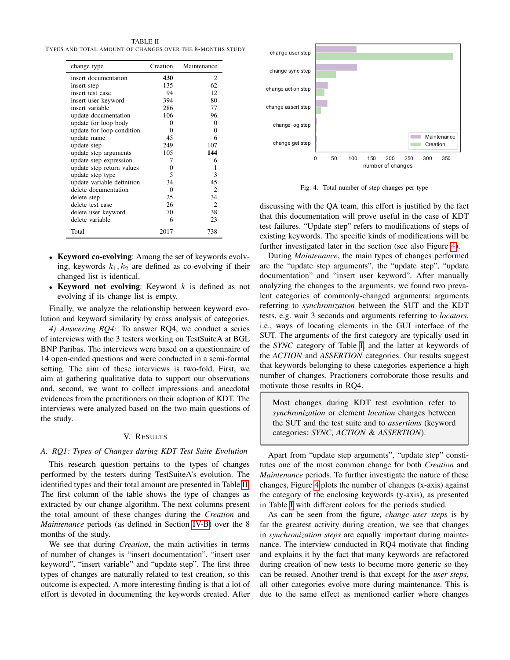<span id="page-5-0"></span>TABLE II TYPES AND TOTAL AMOUNT OF CHANGES OVER THE 8-MONTHS STUDY

| change type                | Creation | Maintenance    |
|----------------------------|----------|----------------|
| insert documentation       | 430      | $\overline{c}$ |
| insert step                | 135      | 62             |
| insert test case           | 94       | 12             |
| insert user keyword        | 394      | 80             |
| insert variable            | 286      | 77             |
| update documentation       | 106      | 96             |
| update for loop body       | 0        | 0              |
| update for loop condition  | 0        | 0              |
| update name                | 45       | 6              |
| update step                | 249      | 107            |
| update step arguments      | 105      | 144            |
| update step expression     | 7        | 6              |
| update step return values  | 0        | 1              |
| update step type           | 5        | 3              |
| update variable definition | 34       | 45             |
| delete documentation       | $\Omega$ | $\overline{c}$ |
| delete step                | 25       | 34             |
| delete test case           | 26       | $\overline{c}$ |
| delete user keyword        | 70       | 38             |
| delete variable            | 6        | 23             |
| Total                      | 2017     | 738            |

- Keyword co-evolving: Among the set of keywords evolving, keywords  $k_1, k_2$  are defined as co-evolving if their changed list is identical.
- Keyword not evolving: Keyword  $k$  is defined as not evolving if its change list is empty.

Finally, we analyze the relationship between keyword evolution and keyword similarity by cross analysis of categories.

*4) Answering RQ4:* To answer RQ4, we conduct a series of interviews with the 3 testers working on TestSuiteA at BGL BNP Paribas. The interviews were based on a questionnaire of 14 open-ended questions and were conducted in a semi-formal setting. The aim of these interviews is two-fold. First, we aim at gathering qualitative data to support our observations and, second, we want to collect impressions and anecdotal evidences from the practitioners on their adoption of KDT. The interviews were analyzed based on the two main questions of the study.

#### V. RESULTS

#### <span id="page-5-2"></span>*A. RQ1: Types of Changes during KDT Test Suite Evolution*

This research question pertains to the types of changes performed by the testers during TestSuiteA's evolution. The identified types and their total amount are presented in Table [II.](#page-5-0) The first column of the table shows the type of changes as extracted by our change algorithm. The next columns present the total amount of these changes during the *Creation* and *Maintenance* periods (as defined in Section [IV-B\)](#page-3-2) over the 8 months of the study.

We see that during *Creation*, the main activities in terms of number of changes is "insert documentation", "insert user keyword", "insert variable" and "update step". The first three types of changes are naturally related to test creation, so this outcome is expected. A more interesting finding is that a lot of effort is devoted in documenting the keywords created. After



<span id="page-5-1"></span>Fig. 4. Total number of step changes per type

discussing with the QA team, this effort is justified by the fact that this documentation will prove useful in the case of KDT test failures. "Update step" refers to modifications of steps of existing keywords. The specific kinds of modifications will be further investigated later in the section (see also Figure [4\)](#page-5-1).

During *Maintenance*, the main types of changes performed are the "update step arguments", the "update step", "update documentation" and "insert user keyword". After manually analyzing the changes to the arguments, we found two prevalent categories of commonly-changed arguments: arguments referring to *synchronization* between the SUT and the KDT tests, e.g. wait 3 seconds and arguments referring to *locators*, i.e., ways of locating elements in the GUI interface of the SUT. The arguments of the first category are typically used in the *SYNC* category of Table [I,](#page-2-1) and the latter at keywords of the *ACTION* and *ASSERTION* categories. Our results suggest that keywords belonging to these categories experience a high number of changes. Practioners corroborate those results and motivate those results in RQ4.

Most changes during KDT test evolution refer to *synchronization* or element *location* changes between the SUT and the test suite and to *assertions* (keyword categories: *SYNC*, *ACTION* & *ASSERTION*).

Apart from "update step arguments", "update step" constitutes one of the most common change for both *Creation* and *Maintenance* periods. To further investigate the nature of these changes, Figure [4](#page-5-1) plots the number of changes (x-axis) against the category of the enclosing keywords (y-axis), as presented in Table [I](#page-2-1) with different colors for the periods studied.

As can be seen from the figure, *change user steps* is by far the greatest activity during creation, we see that changes in *synchronization steps* are equally important during maintenance. The interview conducted in RQ4 motivate that finding and explains it by the fact that many keywords are refactored during creation of new tests to become more generic so they can be reused. Another trend is that except for the *user steps*, all other categories evolve more during maintenance. This is due to the same effect as mentioned earlier where changes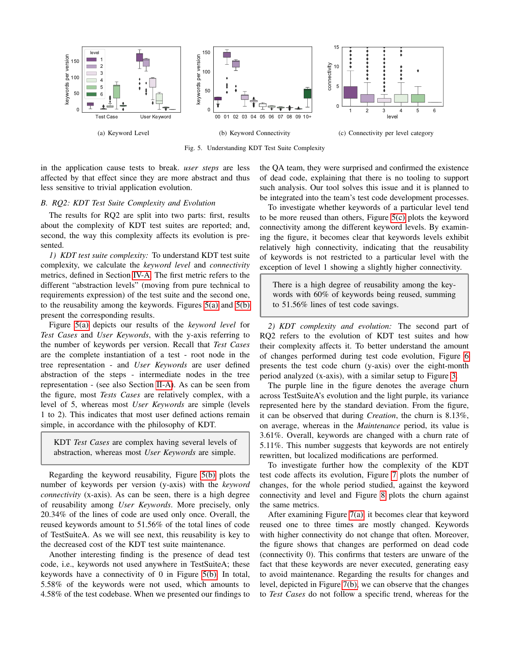<span id="page-6-0"></span>

<span id="page-6-1"></span>Fig. 5. Understanding KDT Test Suite Complexity

in the application cause tests to break. *user steps* are less affected by that effect since they are more abstract and thus less sensitive to trivial application evolution.

### *B. RQ2: KDT Test Suite Complexity and Evolution*

The results for RQ2 are split into two parts: first, results about the complexity of KDT test suites are reported; and, second, the way this complexity affects its evolution is presented.

*1) KDT test suite complexity:* To understand KDT test suite complexity, we calculate the *keyword level* and *connectivity* metrics, defined in Section [IV-A.](#page-3-1) The first metric refers to the different "abstraction levels" (moving from pure technical to requirements expression) of the test suite and the second one, to the reusability among the keywords. Figures  $5(a)$  and  $5(b)$ present the corresponding results.

Figure [5\(a\)](#page-6-0) depicts our results of the *keyword level* for *Test Cases* and *User Keywords*, with the y-axis referring to the number of keywords per version. Recall that *Test Cases* are the complete instantiation of a test - root node in the tree representation - and *User Keywords* are user defined abstraction of the steps - intermediate nodes in the tree representation - (see also Section [II-A\)](#page-1-2). As can be seen from the figure, most *Tests Cases* are relatively complex, with a level of 5, whereas most *User Keywords* are simple (levels 1 to 2). This indicates that most user defined actions remain simple, in accordance with the philosophy of KDT.

KDT *Test Cases* are complex having several levels of abstraction, whereas most *User Keywords* are simple.

Regarding the keyword reusability, Figure [5\(b\)](#page-6-1) plots the number of keywords per version (y-axis) with the *keyword connectivity* (x-axis). As can be seen, there is a high degree of reusability among *User Keywords*. More precisely, only 20.34% of the lines of code are used only once. Overall, the reused keywords amount to 51.56% of the total lines of code of TestSuiteA. As we will see next, this reusability is key to the decreased cost of the KDT test suite maintenance.

Another interesting finding is the presence of dead test code, i.e., keywords not used anywhere in TestSuiteA; these keywords have a connectivity of 0 in Figure [5\(b\).](#page-6-1) In total, 5.58% of the keywords were not used, which amounts to 4.58% of the test codebase. When we presented our findings to

<span id="page-6-2"></span>the QA team, they were surprised and confirmed the existence of dead code, explaining that there is no tooling to support such analysis. Our tool solves this issue and it is planned to be integrated into the team's test code development processes.

To investigate whether keywords of a particular level tend to be more reused than others, Figure [5\(c\)](#page-6-2) plots the keyword connectivity among the different keyword levels. By examining the figure, it becomes clear that keywords levels exhibit relatively high connectivity, indicating that the reusability of keywords is not restricted to a particular level with the exception of level 1 showing a slightly higher connectivity.

There is a high degree of reusability among the keywords with 60% of keywords being reused, summing to 51.56% lines of test code savings.

*2) KDT complexity and evolution:* The second part of RQ2 refers to the evolution of KDT test suites and how their complexity affects it. To better understand the amount of changes performed during test code evolution, Figure [6](#page-7-0) presents the test code churn (y-axis) over the eight-month period analyzed (x-axis), with a similar setup to Figure [3.](#page-3-0)

The purple line in the figure denotes the average churn across TestSuiteA's evolution and the light purple, its variance represented here by the standard deviation. From the figure, it can be observed that during *Creation*, the churn is 8.13%, on average, whereas in the *Maintenance* period, its value is 3.61%. Overall, keywords are changed with a churn rate of 5.11%. This number suggests that keywords are not entirely rewritten, but localized modifications are performed.

To investigate further how the complexity of the KDT test code affects its evolution, Figure [7](#page-7-1) plots the number of changes, for the whole period studied, against the keyword connectivity and level and Figure [8](#page-7-2) plots the churn against the same metrics.

After examining Figure [7\(a\),](#page-7-3) it becomes clear that keyword reused one to three times are mostly changed. Keywords with higher connectivity do not change that often. Moreover, the figure shows that changes are performed on dead code (connectivity 0). This confirms that testers are unware of the fact that these keywords are never executed, generating easy to avoid maintenance. Regarding the results for changes and level, depicted in Figure [7\(b\),](#page-7-4) we can observe that the changes to *Test Cases* do not follow a specific trend, whereas for the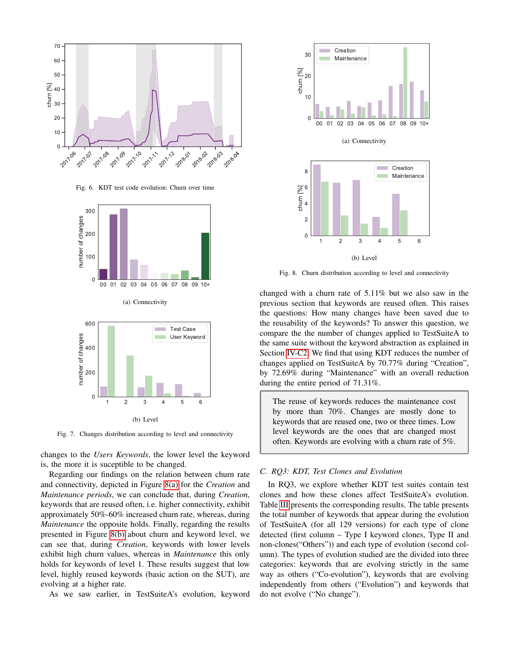

<span id="page-7-0"></span>Fig. 6. KDT test code evolution: Churn over time

<span id="page-7-3"></span>

(a) Connectivity



<span id="page-7-4"></span><span id="page-7-1"></span>Fig. 7. Changes distribution according to level and connectivity

changes to the *Users Keywords*, the lower level the keyword is, the more it is suceptible to be changed.

Regarding our findings on the relation between churn rate and connectivity, depicted in Figure [8\(a\)](#page-7-5) for the *Creation* and *Maintenance periods*, we can conclude that, during *Creation*, keywords that are reused often, i.e. higher connectivity, exhibit approximately 50%-60% increased churn rate, whereas, during *Maintenance* the opposite holds. Finally, regarding the results presented in Figure [8\(b\)](#page-7-6) about churn and keyword level, we can see that, during *Creation*, keywords with lower levels exhibit high churn values, whereas in *Maintenance* this only holds for keywords of level 1. These results suggest that low level, highly reused keywords (basic action on the SUT), are evolving at a higher rate.

As we saw earlier, in TestSuiteA's evolution, keyword

<span id="page-7-5"></span>

(b) Level

<span id="page-7-6"></span><span id="page-7-2"></span>Fig. 8. Churn distribution according to level and connectivity

changed with a churn rate of 5.11% but we also saw in the previous section that keywords are reused often. This raises the questions: How many changes have been saved due to the reusability of the keywords? To answer this question, we compare the the number of changes applied to TestSuiteA to the same suite without the keyword abstraction as explained in Section [IV-C2.](#page-4-1) We find that using KDT reduces the number of changes applied on TestSuiteA by 70.77% during "Creation", by 72.69% during "Maintenance" with an overall reduction during the entire period of 71.31%.

The reuse of keywords reduces the maintenance cost by more than 70%. Changes are mostly done to keywords that are reused one, two or three times. Low level keywords are the ones that are changed most often. Keywords are evolving with a churn rate of 5%.

### *C. RQ3: KDT, Test Clones and Evolution*

In RQ3, we explore whether KDT test suites contain test clones and how these clones affect TestSuiteA's evolution. Table [III](#page-8-0) presents the corresponding results. The table presents the total number of keywords that appear during the evolution of TestSuiteA (for all 129 versions) for each type of clone detected (first column – Type I keyword clones, Type II and non-clones("Others")) and each type of evolution (second column). The types of evolution studied are the divided into three categories: keywords that are evolving strictly in the same way as others ("Co-evolution"), keywords that are evolving independently from others ("Evolution") and keywords that do not evolve ("No change").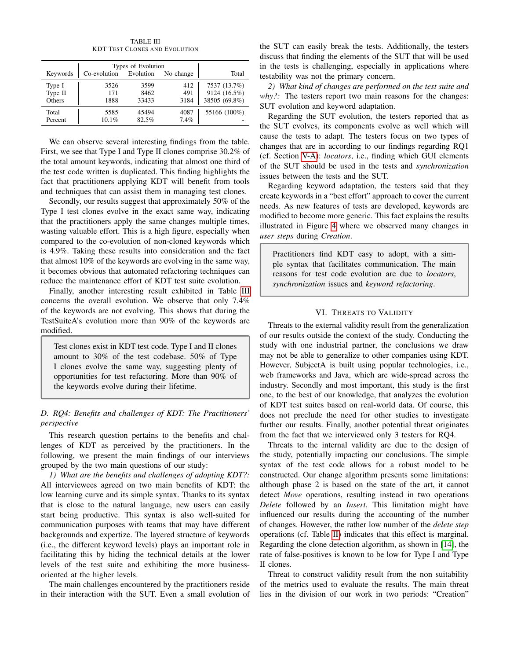TABLE III KDT TEST CLONES AND EVOLUTION

<span id="page-8-0"></span>

| Keywords | Co-evolution Evolution |       | No change | Total         |
|----------|------------------------|-------|-----------|---------------|
| Type I   | 3526                   | 3599  | 412       | 7537 (13.7%)  |
| Type II  | 171                    | 8462  | 491       | 9124 (16.5%)  |
| Others   | 1888                   | 33433 | 3184      | 38505 (69.8%) |
| Total    | 5585                   | 45494 | 4087      | 55166 (100%)  |
| Percent  | $10.1\%$               | 82.5% | 7.4%      |               |

We can observe several interesting findings from the table. First, we see that Type I and Type II clones comprise 30.2% of the total amount keywords, indicating that almost one third of the test code written is duplicated. This finding highlights the fact that practitioners applying KDT will benefit from tools and techniques that can assist them in managing test clones.

Secondly, our results suggest that approximately 50% of the Type I test clones evolve in the exact same way, indicating that the practitioners apply the same changes multiple times, wasting valuable effort. This is a high figure, especially when compared to the co-evolution of non-cloned keywords which is 4.9%. Taking these results into consideration and the fact that almost 10% of the keywords are evolving in the same way, it becomes obvious that automated refactoring techniques can reduce the maintenance effort of KDT test suite evolution.

Finally, another interesting result exhibited in Table [III](#page-8-0) concerns the overall evolution. We observe that only 7.4% of the keywords are not evolving. This shows that during the TestSuiteA's evolution more than 90% of the keywords are modified.

Test clones exist in KDT test code. Type I and II clones amount to 30% of the test codebase. 50% of Type I clones evolve the same way, suggesting plenty of opportunities for test refactoring. More than 90% of the keywords evolve during their lifetime.

# *D. RQ4: Benefits and challenges of KDT: The Practitioners' perspective*

This research question pertains to the benefits and challenges of KDT as perceived by the practitioners. In the following, we present the main findings of our interviews grouped by the two main questions of our study:

*1) What are the benefits and challenges of adopting KDT?:* All interviewees agreed on two main benefits of KDT: the low learning curve and its simple syntax. Thanks to its syntax that is close to the natural language, new users can easily start being productive. This syntax is also well-suited for communication purposes with teams that may have different backgrounds and expertize. The layered structure of keywords (i.e., the different keyword levels) plays an important role in facilitating this by hiding the technical details at the lower levels of the test suite and exhibiting the more businessoriented at the higher levels.

The main challenges encountered by the practitioners reside in their interaction with the SUT. Even a small evolution of the SUT can easily break the tests. Additionally, the testers discuss that finding the elements of the SUT that will be used in the tests is challenging, especially in applications where testability was not the primary concern.

*2) What kind of changes are performed on the test suite and why?:* The testers report two main reasons for the changes: SUT evolution and keyword adaptation.

Regarding the SUT evolution, the testers reported that as the SUT evolves, its components evolve as well which will cause the tests to adapt. The testers focus on two types of changes that are in according to our findings regarding RQ1 (cf. Section [V-A\)](#page-5-2): *locators*, i.e., finding which GUI elements of the SUT should be used in the tests and *synchronization* issues between the tests and the SUT.

Regarding keyword adaptation, the testers said that they create keywords in a "best effort" approach to cover the current needs. As new features of tests are developed, keywords are modified to become more generic. This fact explains the results illustrated in Figure [4](#page-5-1) where we observed many changes in *user steps* during *Creation*.

Practitioners find KDT easy to adopt, with a simple syntax that facilitates communication. The main reasons for test code evolution are due to *locators*, *synchronization* issues and *keyword refactoring*.

## VI. THREATS TO VALIDITY

Threats to the external validity result from the generalization of our results outside the context of the study. Conducting the study with one industrial partner, the conclusions we draw may not be able to generalize to other companies using KDT. However, SubjectA is built using popular technologies, i.e., web frameworks and Java, which are wide-spread across the industry. Secondly and most important, this study is the first one, to the best of our knowledge, that analyzes the evolution of KDT test suites based on real-world data. Of course, this does not preclude the need for other studies to investigate further our results. Finally, another potential threat originates from the fact that we interviewed only 3 testers for RQ4.

Threats to the internal validity are due to the design of the study, potentially impacting our conclusions. The simple syntax of the test code allows for a robust model to be constructed. Our change algorithm presents some limitations: although phase 2 is based on the state of the art, it cannot detect *Move* operations, resulting instead in two operations *Delete* followed by an *Insert*. This limitation might have influenced our results during the accounting of the number of changes. However, the rather low number of the *delete step* operations (cf. Table [II\)](#page-5-0) indicates that this effect is marginal. Regarding the clone detection algorithm, as shown in [\[14\]](#page-10-16), the rate of false-positives is known to be low for Type I and Type II clones.

Threat to construct validity result from the non suitability of the metrics used to evaluate the results. The main threat lies in the division of our work in two periods: "Creation"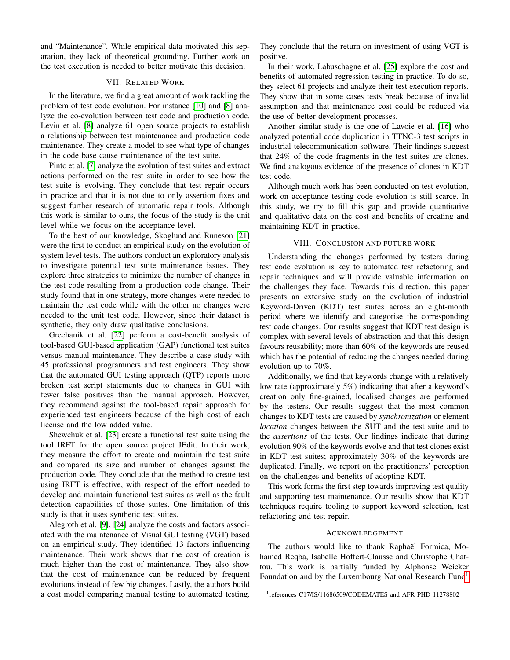and "Maintenance". While empirical data motivated this separation, they lack of theoretical grounding. Further work on the test execution is needed to better motivate this decision.

## VII. RELATED WORK

In the literature, we find a great amount of work tackling the problem of test code evolution. For instance [\[10\]](#page-10-7) and [\[8\]](#page-10-17) analyze the co-evolution between test code and production code. Levin et al. [\[8\]](#page-10-17) analyze 61 open source projects to establish a relationship between test maintenance and production code maintenance. They create a model to see what type of changes in the code base cause maintenance of the test suite.

Pinto et al. [\[7\]](#page-10-6) analyze the evolution of test suites and extract actions performed on the test suite in order to see how the test suite is evolving. They conclude that test repair occurs in practice and that it is not due to only assertion fixes and suggest further research of automatic repair tools. Although this work is similar to ours, the focus of the study is the unit level while we focus on the acceptance level.

To the best of our knowledge, Skoglund and Runeson [\[21\]](#page-10-18) were the first to conduct an empirical study on the evolution of system level tests. The authors conduct an exploratory analysis to investigate potential test suite maintenance issues. They explore three strategies to minimize the number of changes in the test code resulting from a production code change. Their study found that in one strategy, more changes were needed to maintain the test code while with the other no changes were needed to the unit test code. However, since their dataset is synthetic, they only draw qualitative conclusions.

Grechanik et al. [\[22\]](#page-10-19) perform a cost-benefit analysis of tool-based GUI-based application (GAP) functional test suites versus manual maintenance. They describe a case study with 45 professional programmers and test engineers. They show that the automated GUI testing approach (QTP) reports more broken test script statements due to changes in GUI with fewer false positives than the manual approach. However, they recommend against the tool-based repair approach for experienced test engineers because of the high cost of each license and the low added value.

Shewchuk et al. [\[23\]](#page-10-20) create a functional test suite using the tool IRFT for the open source project JEdit. In their work, they measure the effort to create and maintain the test suite and compared its size and number of changes against the production code. They conclude that the method to create test using IRFT is effective, with respect of the effort needed to develop and maintain functional test suites as well as the fault detection capabilities of those suites. One limitation of this study is that it uses synthetic test suites.

Alegroth et al. [\[9\]](#page-10-8), [\[24\]](#page-10-21) analyze the costs and factors associated with the maintenance of Visual GUI testing (VGT) based on an empirical study. They identified 13 factors influencing maintenance. Their work shows that the cost of creation is much higher than the cost of maintenance. They also show that the cost of maintenance can be reduced by frequent evolutions instead of few big changes. Lastly, the authors build a cost model comparing manual testing to automated testing.

They conclude that the return on investment of using VGT is positive.

In their work, Labuschagne et al. [\[25\]](#page-10-22) explore the cost and benefits of automated regression testing in practice. To do so, they select 61 projects and analyze their test execution reports. They show that in some cases tests break because of invalid assumption and that maintenance cost could be reduced via the use of better development processes.

Another similar study is the one of Lavoie et al. [\[16\]](#page-10-12) who analyzed potential code duplication in TTNC-3 test scripts in industrial telecommunication software. Their findings suggest that 24% of the code fragments in the test suites are clones. We find analogous evidence of the presence of clones in KDT test code.

Although much work has been conducted on test evolution, work on acceptance testing code evolution is still scarce. In this study, we try to fill this gap and provide quantitative and qualitative data on the cost and benefits of creating and maintaining KDT in practice.

## VIII. CONCLUSION AND FUTURE WORK

Understanding the changes performed by testers during test code evolution is key to automated test refactoring and repair techniques and will provide valuable information on the challenges they face. Towards this direction, this paper presents an extensive study on the evolution of industrial Keyword-Driven (KDT) test suites across an eight-month period where we identify and categorise the corresponding test code changes. Our results suggest that KDT test design is complex with several levels of abstraction and that this design favours reusability; more than 60% of the keywords are reused which has the potential of reducing the changes needed during evolution up to 70%.

Additionally, we find that keywords change with a relatively low rate (approximately 5%) indicating that after a keyword's creation only fine-grained, localised changes are performed by the testers. Our results suggest that the most common changes to KDT tests are caused by *synchronization* or element *location* changes between the SUT and the test suite and to the *assertions* of the tests. Our findings indicate that during evolution 90% of the keywords evolve and that test clones exist in KDT test suites; approximately 30% of the keywords are duplicated. Finally, we report on the practitioners' perception on the challenges and benefits of adopting KDT.

This work forms the first step towards improving test quality and supporting test maintenance. Our results show that KDT techniques require tooling to support keyword selection, test refactoring and test repair.

#### ACKNOWLEDGEMENT

The authors would like to thank Raphaël Formica, Mohamed Reqba, Isabelle Hoffert-Clausse and Christophe Chattou. This work is partially funded by Alphonse Weicker Foundation and by the Luxembourg National Research Fund[1](#page-9-0)

<span id="page-9-0"></span><sup>1</sup> references C17/IS/11686509/CODEMATES and AFR PHD 11278802